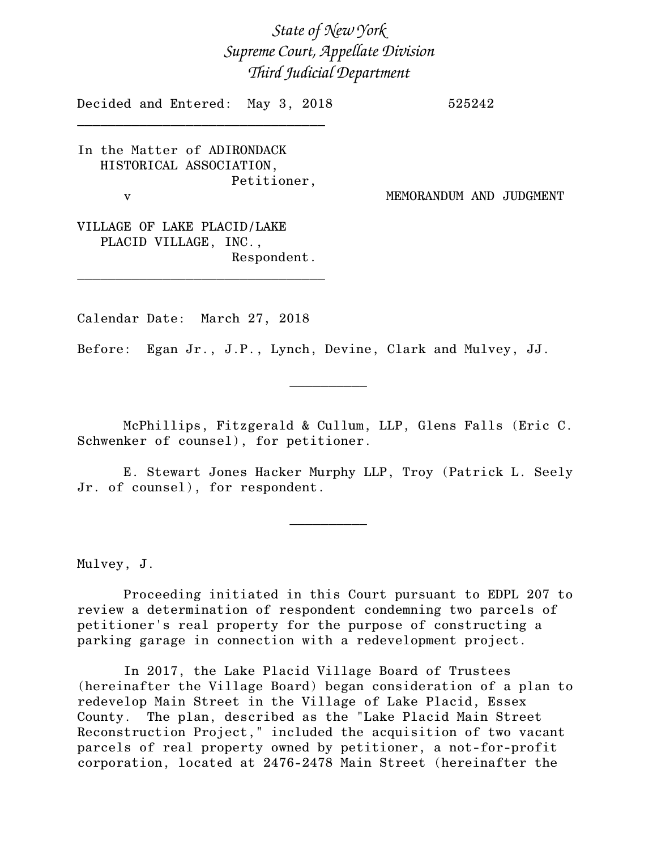*State of New York Supreme Court, Appellate Division Third Judicial Department*

Decided and Entered: May 3, 2018 525242 \_\_\_\_\_\_\_\_\_\_\_\_\_\_\_\_\_\_\_\_\_\_\_\_\_\_\_\_\_\_\_\_

In the Matter of ADIRONDACK HISTORICAL ASSOCIATION, Petitioner,

v MEMORANDUM AND JUDGMENT

VILLAGE OF LAKE PLACID/LAKE PLACID VILLAGE, INC., Respondent.

\_\_\_\_\_\_\_\_\_\_\_\_\_\_\_\_\_\_\_\_\_\_\_\_\_\_\_\_\_\_\_\_

Calendar Date: March 27, 2018

Before: Egan Jr., J.P., Lynch, Devine, Clark and Mulvey, JJ.

McPhillips, Fitzgerald & Cullum, LLP, Glens Falls (Eric C. Schwenker of counsel), for petitioner.

 $\frac{1}{2}$ 

E. Stewart Jones Hacker Murphy LLP, Troy (Patrick L. Seely Jr. of counsel), for respondent.

 $\frac{1}{2}$ 

Mulvey, J.

Proceeding initiated in this Court pursuant to EDPL 207 to review a determination of respondent condemning two parcels of petitioner's real property for the purpose of constructing a parking garage in connection with a redevelopment project.

In 2017, the Lake Placid Village Board of Trustees (hereinafter the Village Board) began consideration of a plan to redevelop Main Street in the Village of Lake Placid, Essex County. The plan, described as the "Lake Placid Main Street Reconstruction Project," included the acquisition of two vacant parcels of real property owned by petitioner, a not-for-profit corporation, located at 2476-2478 Main Street (hereinafter the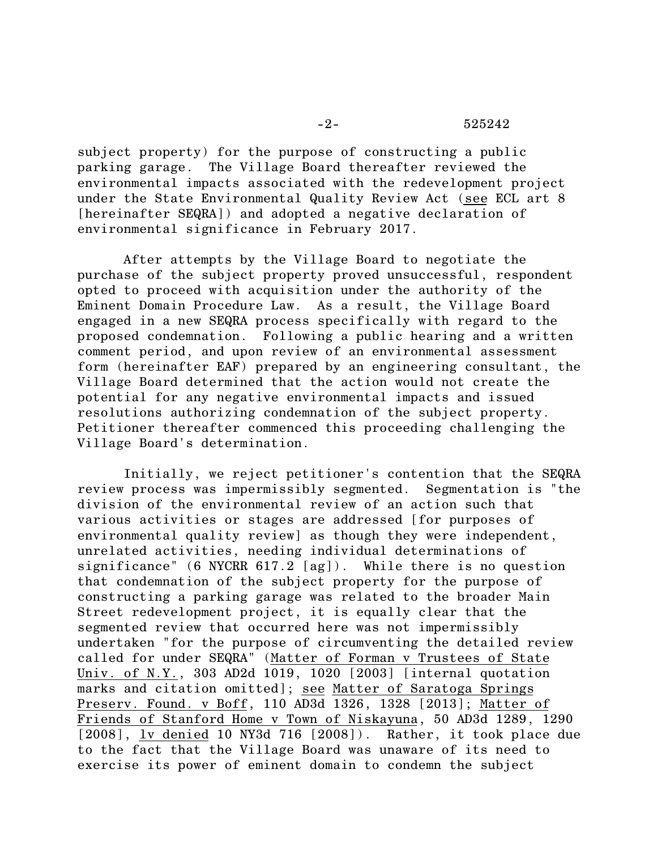subject property) for the purpose of constructing a public parking garage. The Village Board thereafter reviewed the environmental impacts associated with the redevelopment project under the State Environmental Quality Review Act (see ECL art 8 [hereinafter SEQRA]) and adopted a negative declaration of environmental significance in February 2017.

After attempts by the Village Board to negotiate the purchase of the subject property proved unsuccessful, respondent opted to proceed with acquisition under the authority of the Eminent Domain Procedure Law. As a result, the Village Board engaged in a new SEQRA process specifically with regard to the proposed condemnation. Following a public hearing and a written comment period, and upon review of an environmental assessment form (hereinafter EAF) prepared by an engineering consultant, the Village Board determined that the action would not create the potential for any negative environmental impacts and issued resolutions authorizing condemnation of the subject property. Petitioner thereafter commenced this proceeding challenging the Village Board's determination.

Initially, we reject petitioner's contention that the SEQRA review process was impermissibly segmented. Segmentation is "the division of the environmental review of an action such that various activities or stages are addressed [for purposes of environmental quality review] as though they were independent, unrelated activities, needing individual determinations of significance" (6 NYCRR 617.2 [ag]). While there is no question that condemnation of the subject property for the purpose of constructing a parking garage was related to the broader Main Street redevelopment project, it is equally clear that the segmented review that occurred here was not impermissibly undertaken "for the purpose of circumventing the detailed review called for under SEQRA" (Matter of Forman v Trustees of State Univ. of N.Y., 303 AD2d 1019, 1020 [2003] [internal quotation marks and citation omitted]; see Matter of Saratoga Springs Preserv. Found. v Boff, 110 AD3d 1326, 1328 [2013]; Matter of Friends of Stanford Home v Town of Niskayuna, 50 AD3d 1289, 1290 [2008], ly denied 10 NY3d 716 [2008]). Rather, it took place due to the fact that the Village Board was unaware of its need to exercise its power of eminent domain to condemn the subject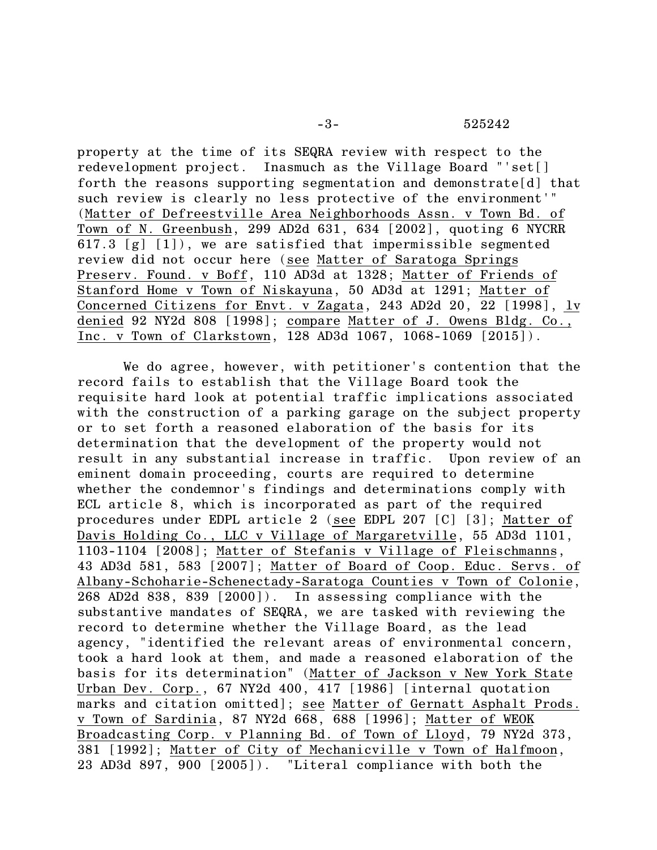## -3- 525242

property at the time of its SEQRA review with respect to the redevelopment project. Inasmuch as the Village Board "'set[] forth the reasons supporting segmentation and demonstrate[d] that such review is clearly no less protective of the environment'" (Matter of Defreestville Area Neighborhoods Assn. v Town Bd. of Town of N. Greenbush, 299 AD2d 631, 634 [2002], quoting 6 NYCRR 617.3 [g] [1]), we are satisfied that impermissible segmented review did not occur here (see Matter of Saratoga Springs Preserv. Found. v Boff, 110 AD3d at 1328; Matter of Friends of Stanford Home v Town of Niskayuna, 50 AD3d at 1291; Matter of Concerned Citizens for Envt. v Zagata, 243 AD2d 20, 22 [1998], lv denied 92 NY2d 808 [1998]; compare Matter of J. Owens Bldg. Co., Inc. v Town of Clarkstown, 128 AD3d 1067, 1068-1069 [2015]).

We do agree, however, with petitioner's contention that the record fails to establish that the Village Board took the requisite hard look at potential traffic implications associated with the construction of a parking garage on the subject property or to set forth a reasoned elaboration of the basis for its determination that the development of the property would not result in any substantial increase in traffic. Upon review of an eminent domain proceeding, courts are required to determine whether the condemnor's findings and determinations comply with ECL article 8, which is incorporated as part of the required procedures under EDPL article 2 (see EDPL 207 [C] [3]; Matter of Davis Holding Co., LLC v Village of Margaretville, 55 AD3d 1101, 1103-1104 [2008]; Matter of Stefanis v Village of Fleischmanns, 43 AD3d 581, 583 [2007]; Matter of Board of Coop. Educ. Servs. of Albany-Schoharie-Schenectady-Saratoga Counties v Town of Colonie, 268 AD2d 838, 839 [2000]). In assessing compliance with the substantive mandates of SEQRA, we are tasked with reviewing the record to determine whether the Village Board, as the lead agency, "identified the relevant areas of environmental concern, took a hard look at them, and made a reasoned elaboration of the basis for its determination" (Matter of Jackson v New York State Urban Dev. Corp., 67 NY2d 400, 417 [1986] [internal quotation marks and citation omitted]; see Matter of Gernatt Asphalt Prods. v Town of Sardinia, 87 NY2d 668, 688 [1996]; Matter of WEOK Broadcasting Corp. v Planning Bd. of Town of Lloyd, 79 NY2d 373, 381 [1992]; Matter of City of Mechanicville v Town of Halfmoon, 23 AD3d 897, 900 [2005]). "Literal compliance with both the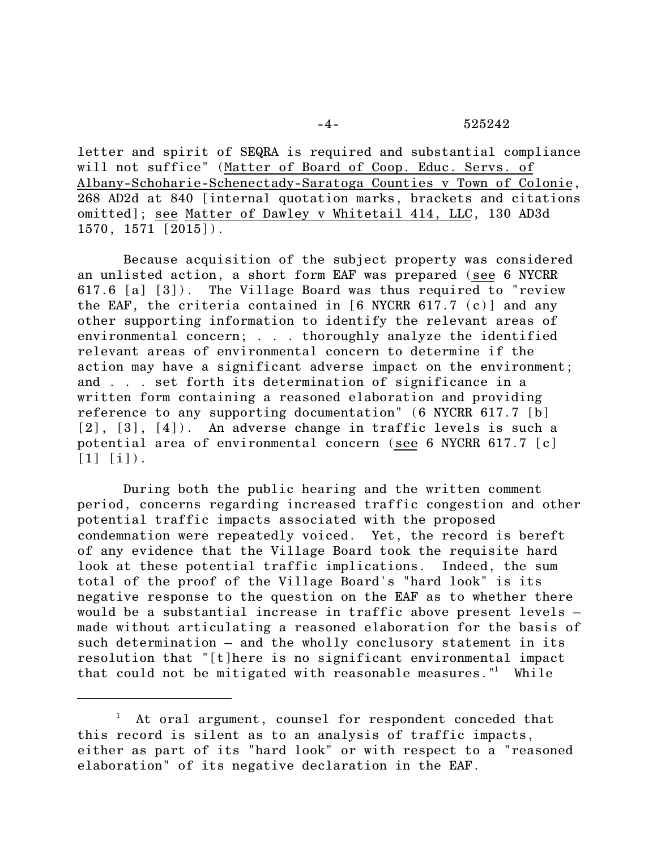letter and spirit of SEQRA is required and substantial compliance will not suffice" (Matter of Board of Coop. Educ. Servs. of Albany-Schoharie-Schenectady-Saratoga Counties v Town of Colonie, 268 AD2d at 840 [internal quotation marks, brackets and citations omitted]; see Matter of Dawley v Whitetail 414, LLC, 130 AD3d  $1570, 1571 [2015]$ .

Because acquisition of the subject property was considered an unlisted action, a short form EAF was prepared (see 6 NYCRR 617.6 [a] [3]). The Village Board was thus required to "review the EAF, the criteria contained in [6 NYCRR 617.7 (c)] and any other supporting information to identify the relevant areas of environmental concern; . . . thoroughly analyze the identified relevant areas of environmental concern to determine if the action may have a significant adverse impact on the environment; and . . . set forth its determination of significance in a written form containing a reasoned elaboration and providing reference to any supporting documentation" (6 NYCRR 617.7 [b] [2], [3], [4]). An adverse change in traffic levels is such a potential area of environmental concern (see 6 NYCRR 617.7 [c]  $[1]$   $[i]$ ).

During both the public hearing and the written comment period, concerns regarding increased traffic congestion and other potential traffic impacts associated with the proposed condemnation were repeatedly voiced. Yet, the record is bereft of any evidence that the Village Board took the requisite hard look at these potential traffic implications. Indeed, the sum total of the proof of the Village Board's "hard look" is its negative response to the question on the EAF as to whether there would be a substantial increase in traffic above present levels – made without articulating a reasoned elaboration for the basis of such determination – and the wholly conclusory statement in its resolution that "[t]here is no significant environmental impact that could not be mitigated with reasonable measures."<sup>1</sup> While

<sup>&</sup>lt;sup>1</sup> At oral argument, counsel for respondent conceded that this record is silent as to an analysis of traffic impacts, either as part of its "hard look" or with respect to a "reasoned elaboration" of its negative declaration in the EAF.